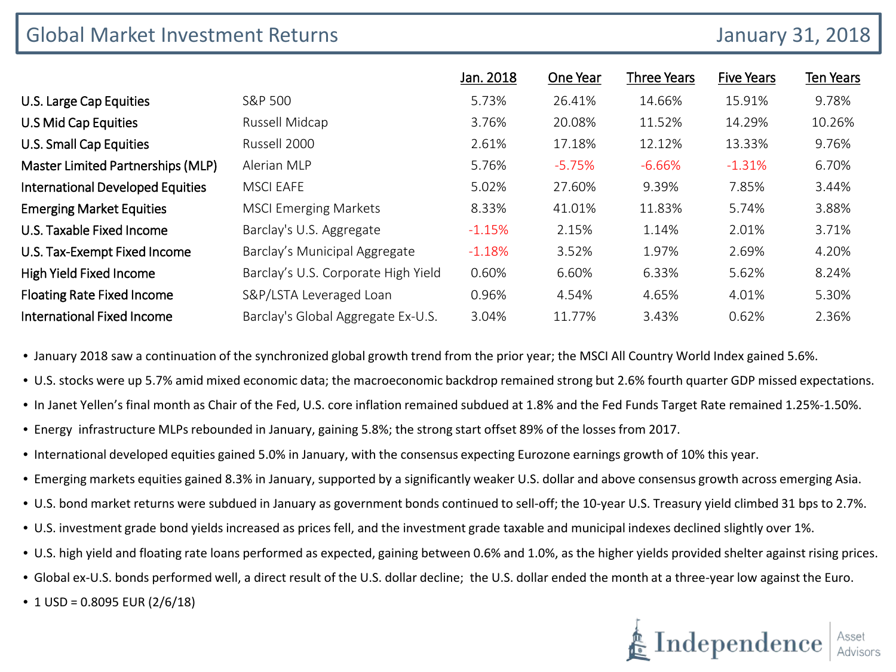## Global Market Investment Returns **Global Market Investment Returns** January 31, 2018

|                                         |                                     | Jan. 2018 | One Year | <b>Three Years</b> | <b>Five Years</b> | <b>Ten Years</b> |
|-----------------------------------------|-------------------------------------|-----------|----------|--------------------|-------------------|------------------|
| U.S. Large Cap Equities                 | S&P 500                             | 5.73%     | 26.41%   | 14.66%             | 15.91%            | 9.78%            |
| U.S Mid Cap Equities                    | Russell Midcap                      | 3.76%     | 20.08%   | 11.52%             | 14.29%            | 10.26%           |
| U.S. Small Cap Equities                 | Russell 2000                        | 2.61%     | 17.18%   | 12.12%             | 13.33%            | 9.76%            |
| Master Limited Partnerships (MLP)       | Alerian MLP                         | 5.76%     | $-5.75%$ | $-6.66%$           | $-1.31%$          | 6.70%            |
| <b>International Developed Equities</b> | <b>MSCI EAFE</b>                    | 5.02%     | 27.60%   | 9.39%              | 7.85%             | 3.44%            |
| <b>Emerging Market Equities</b>         | <b>MSCI Emerging Markets</b>        | 8.33%     | 41.01%   | 11.83%             | 5.74%             | 3.88%            |
| U.S. Taxable Fixed Income               | Barclay's U.S. Aggregate            | $-1.15%$  | 2.15%    | 1.14%              | 2.01%             | 3.71%            |
| U.S. Tax-Exempt Fixed Income            | Barclay's Municipal Aggregate       | $-1.18%$  | 3.52%    | 1.97%              | 2.69%             | 4.20%            |
| High Yield Fixed Income                 | Barclay's U.S. Corporate High Yield | 0.60%     | 6.60%    | 6.33%              | 5.62%             | 8.24%            |
| <b>Floating Rate Fixed Income</b>       | S&P/LSTA Leveraged Loan             | 0.96%     | 4.54%    | 4.65%              | 4.01%             | 5.30%            |
| International Fixed Income              | Barclay's Global Aggregate Ex-U.S.  | 3.04%     | 11.77%   | 3.43%              | 0.62%             | 2.36%            |

• January 2018 saw a continuation of the synchronized global growth trend from the prior year; the MSCI All Country World Index gained 5.6%.

• U.S. stocks were up 5.7% amid mixed economic data; the macroeconomic backdrop remained strong but 2.6% fourth quarter GDP missed expectations.

- In Janet Yellen's final month as Chair of the Fed, U.S. core inflation remained subdued at 1.8% and the Fed Funds Target Rate remained 1.25%-1.50%.
- Energy infrastructure MLPs rebounded in January, gaining 5.8%; the strong start offset 89% of the losses from 2017.
- International developed equities gained 5.0% in January, with the consensus expecting Eurozone earnings growth of 10% this year.
- Emerging markets equities gained 8.3% in January, supported by a significantly weaker U.S. dollar and above consensus growth across emerging Asia.
- U.S. bond market returns were subdued in January as government bonds continued to sell-off; the 10-year U.S. Treasury yield climbed 31 bps to 2.7%.
- U.S. investment grade bond yields increased as prices fell, and the investment grade taxable and municipal indexes declined slightly over 1%.
- U.S. high yield and floating rate loans performed as expected, gaining between 0.6% and 1.0%, as the higher yields provided shelter against rising prices.
- Global ex-U.S. bonds performed well, a direct result of the U.S. dollar decline; the U.S. dollar ended the month at a three-year low against the Euro.
- $1 \text{ USD} = 0.8095 \text{ EUR} (2/6/18)$

# $\stackrel{*}{\blacktriangleright} \textbf{Independence} \, | \, {}^\text{\tiny Asset}_{\scriptscriptstyle\mathsf{Advison}}$